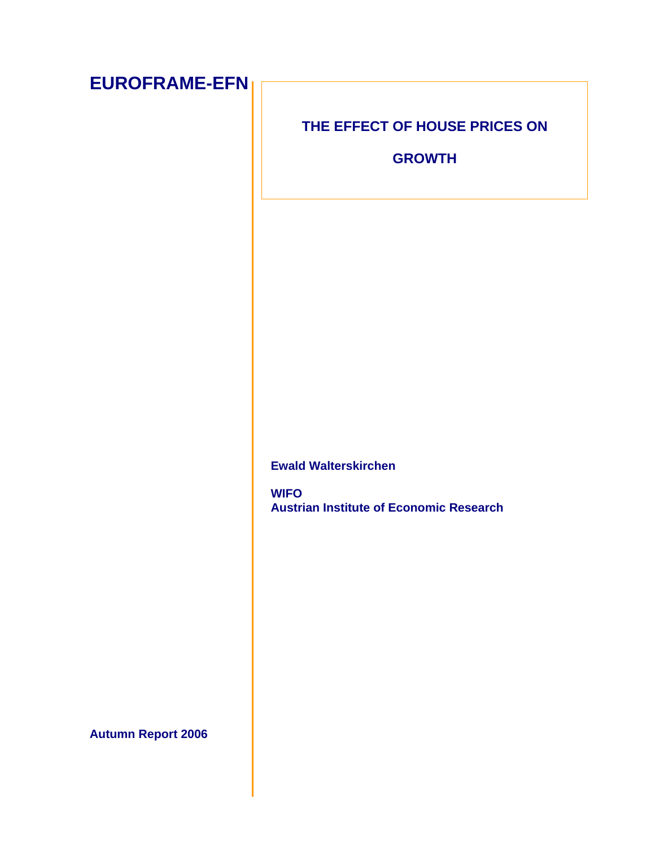| <b>EUROFRAME-EFN</b>      |                                                               |
|---------------------------|---------------------------------------------------------------|
|                           | THE EFFECT OF HOUSE PRICES ON                                 |
|                           | <b>GROWTH</b>                                                 |
|                           |                                                               |
|                           |                                                               |
|                           |                                                               |
|                           |                                                               |
|                           |                                                               |
|                           |                                                               |
|                           |                                                               |
|                           |                                                               |
|                           | <b>Ewald Walterskirchen</b>                                   |
|                           | <b>WIFO</b><br><b>Austrian Institute of Economic Research</b> |
|                           |                                                               |
|                           |                                                               |
|                           |                                                               |
|                           |                                                               |
|                           |                                                               |
| <b>Autumn Report 2006</b> |                                                               |
|                           |                                                               |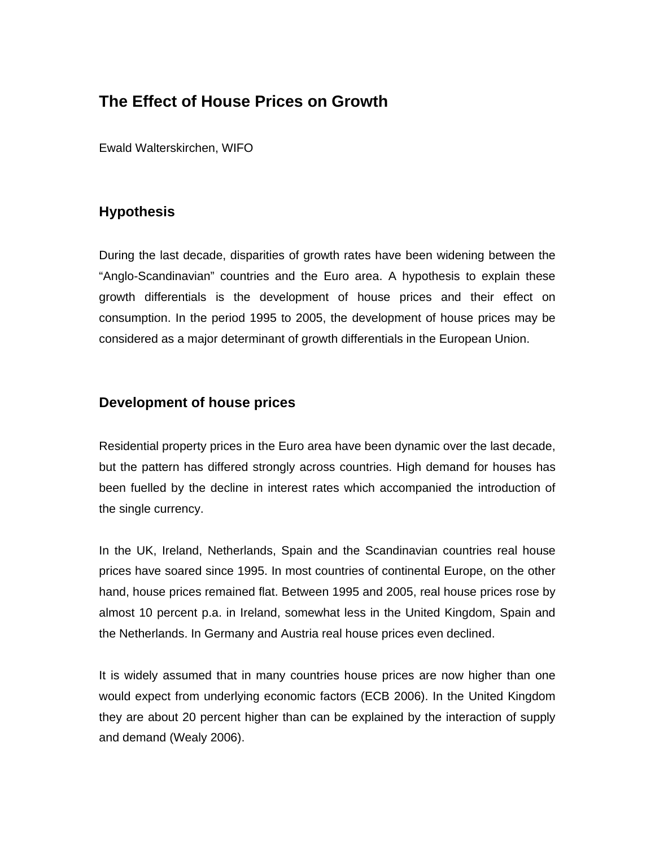# **The Effect of House Prices on Growth**

Ewald Walterskirchen, WIFO

# **Hypothesis**

During the last decade, disparities of growth rates have been widening between the "Anglo-Scandinavian" countries and the Euro area. A hypothesis to explain these growth differentials is the development of house prices and their effect on consumption. In the period 1995 to 2005, the development of house prices may be considered as a major determinant of growth differentials in the European Union.

## **Development of house prices**

Residential property prices in the Euro area have been dynamic over the last decade, but the pattern has differed strongly across countries. High demand for houses has been fuelled by the decline in interest rates which accompanied the introduction of the single currency.

In the UK, Ireland, Netherlands, Spain and the Scandinavian countries real house prices have soared since 1995. In most countries of continental Europe, on the other hand, house prices remained flat. Between 1995 and 2005, real house prices rose by almost 10 percent p.a. in Ireland, somewhat less in the United Kingdom, Spain and the Netherlands. In Germany and Austria real house prices even declined.

It is widely assumed that in many countries house prices are now higher than one would expect from underlying economic factors (ECB 2006). In the United Kingdom they are about 20 percent higher than can be explained by the interaction of supply and demand (Wealy 2006).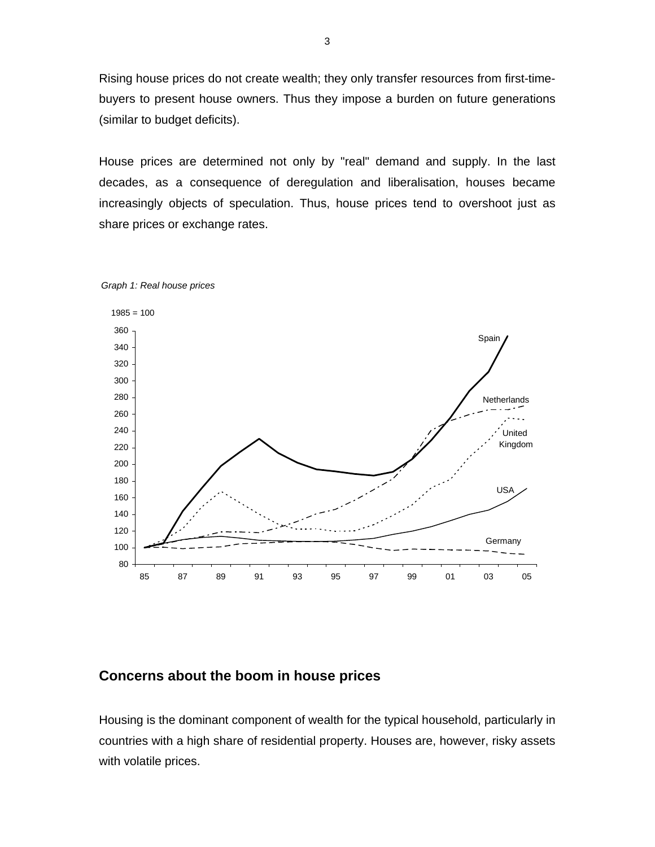Rising house prices do not create wealth; they only transfer resources from first-timebuyers to present house owners. Thus they impose a burden on future generations (similar to budget deficits).

House prices are determined not only by "real" demand and supply. In the last decades, as a consequence of deregulation and liberalisation, houses became increasingly objects of speculation. Thus, house prices tend to overshoot just as share prices or exchange rates.





### **Concerns about the boom in house prices**

Housing is the dominant component of wealth for the typical household, particularly in countries with a high share of residential property. Houses are, however, risky assets with volatile prices.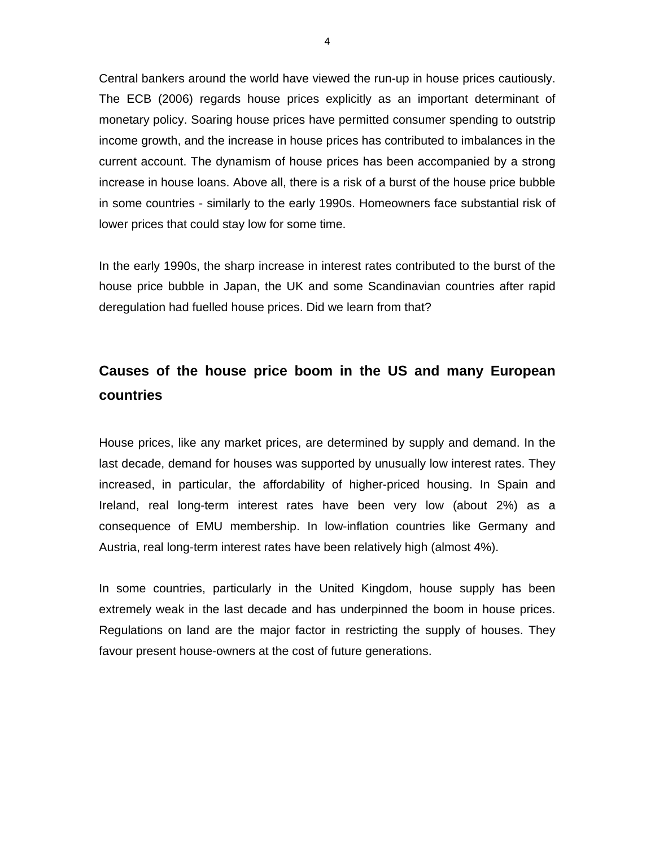Central bankers around the world have viewed the run-up in house prices cautiously. The ECB (2006) regards house prices explicitly as an important determinant of monetary policy. Soaring house prices have permitted consumer spending to outstrip income growth, and the increase in house prices has contributed to imbalances in the current account. The dynamism of house prices has been accompanied by a strong increase in house loans. Above all, there is a risk of a burst of the house price bubble in some countries - similarly to the early 1990s. Homeowners face substantial risk of lower prices that could stay low for some time.

In the early 1990s, the sharp increase in interest rates contributed to the burst of the house price bubble in Japan, the UK and some Scandinavian countries after rapid deregulation had fuelled house prices. Did we learn from that?

# **Causes of the house price boom in the US and many European countries**

House prices, like any market prices, are determined by supply and demand. In the last decade, demand for houses was supported by unusually low interest rates. They increased, in particular, the affordability of higher-priced housing. In Spain and Ireland, real long-term interest rates have been very low (about 2%) as a consequence of EMU membership. In low-inflation countries like Germany and Austria, real long-term interest rates have been relatively high (almost 4%).

In some countries, particularly in the United Kingdom, house supply has been extremely weak in the last decade and has underpinned the boom in house prices. Regulations on land are the major factor in restricting the supply of houses. They favour present house-owners at the cost of future generations.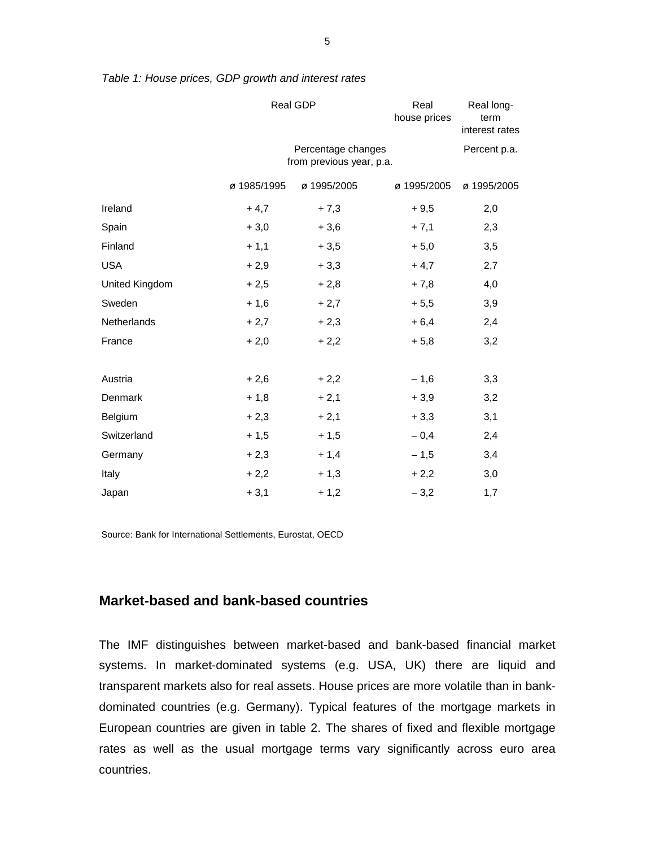|                | Real GDP                                       |              | Real<br>house prices | Real long-<br>term<br>interest rates |  |
|----------------|------------------------------------------------|--------------|----------------------|--------------------------------------|--|
|                | Percentage changes<br>from previous year, p.a. | Percent p.a. |                      |                                      |  |
|                | ø 1985/1995                                    | ø 1995/2005  | ø 1995/2005          | ø 1995/2005                          |  |
| Ireland        | $+4,7$                                         | $+7,3$       | $+9,5$               | 2,0                                  |  |
| Spain          | $+3,0$                                         | $+3,6$       | $+7,1$               | 2,3                                  |  |
| Finland        | $+1,1$                                         | $+3,5$       | $+5,0$               | 3,5                                  |  |
| <b>USA</b>     | $+2,9$                                         | $+3,3$       | $+4,7$               | 2,7                                  |  |
| United Kingdom | $+2,5$                                         | $+2,8$       | $+7,8$               | 4,0                                  |  |
| Sweden         | $+1,6$                                         | $+2,7$       | $+5,5$               | 3,9                                  |  |
| Netherlands    | $+2,7$                                         | $+2,3$       | $+6,4$               | 2,4                                  |  |
| France         | $+2,0$                                         | $+2,2$       | $+5,8$               | 3,2                                  |  |
|                |                                                |              |                      |                                      |  |
| Austria        | $+2,6$                                         | $+2,2$       | $-1,6$               | 3,3                                  |  |
| Denmark        | $+1,8$                                         | $+2,1$       | $+3,9$               | 3,2                                  |  |
| Belgium        | $+2,3$                                         | $+2,1$       | $+3,3$               | 3,1                                  |  |
| Switzerland    | $+1,5$                                         | $+1,5$       | $-0,4$               | 2,4                                  |  |
| Germany        | $+2,3$                                         | $+1,4$       | $-1,5$               | 3,4                                  |  |
| Italy          | $+2,2$                                         | $+1,3$       | $+2,2$               | 3,0                                  |  |
| Japan          | $+3,1$                                         | $+1,2$       | $-3,2$               | 1,7                                  |  |

*Table 1: House prices, GDP growth and interest rates*

Source: Bank for International Settlements, Eurostat, OECD

### **Market-based and bank-based countries**

The IMF distinguishes between market-based and bank-based financial market systems. In market-dominated systems (e.g. USA, UK) there are liquid and transparent markets also for real assets. House prices are more volatile than in bankdominated countries (e.g. Germany). Typical features of the mortgage markets in European countries are given in table 2. The shares of fixed and flexible mortgage rates as well as the usual mortgage terms vary significantly across euro area countries.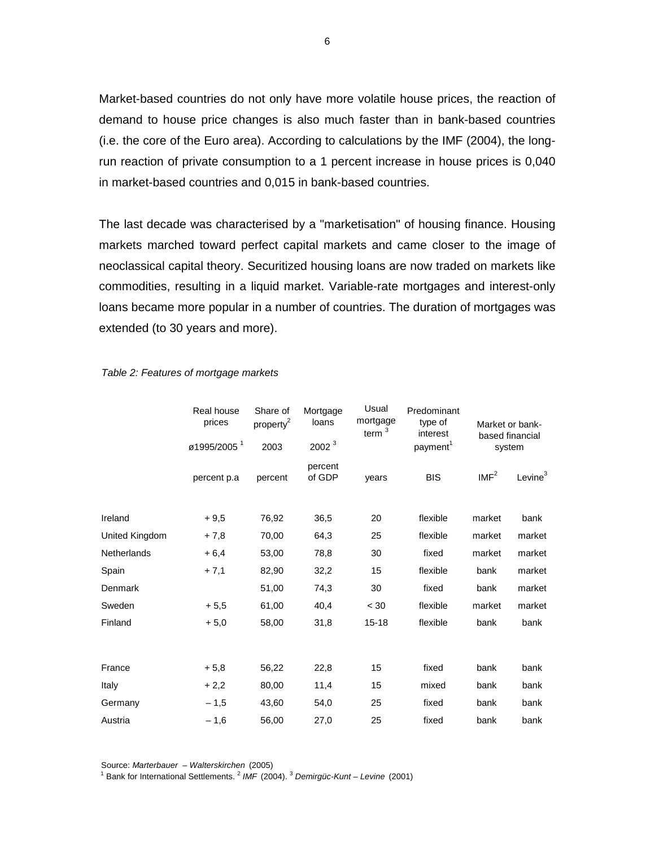Market-based countries do not only have more volatile house prices, the reaction of demand to house price changes is also much faster than in bank-based countries (i.e. the core of the Euro area). According to calculations by the IMF (2004), the longrun reaction of private consumption to a 1 percent increase in house prices is 0,040 in market-based countries and 0,015 in bank-based countries.

The last decade was characterised by a "marketisation" of housing finance. Housing markets marched toward perfect capital markets and came closer to the image of neoclassical capital theory. Securitized housing loans are now traded on markets like commodities, resulting in a liquid market. Variable-rate mortgages and interest-only loans became more popular in a number of countries. The duration of mortgages was extended (to 30 years and more).

|                | Real house<br>prices<br>ø1995/2005 <sup>1</sup> | Share of<br>property <sup>2</sup><br>2003 | Mortgage<br>loans<br>2002 <sup>3</sup> | Usual<br>mortgage<br>term $3$ | Predominant<br>type of<br>interest<br>payment <sup>1</sup> | Market or bank-<br>based financial<br>system |            |
|----------------|-------------------------------------------------|-------------------------------------------|----------------------------------------|-------------------------------|------------------------------------------------------------|----------------------------------------------|------------|
|                | percent p.a                                     | percent                                   | percent<br>of GDP                      | years                         | <b>BIS</b>                                                 | IMF <sup>2</sup>                             | Levine $3$ |
| Ireland        | $+9,5$                                          | 76,92                                     | 36,5                                   | 20                            | flexible                                                   | market                                       | bank       |
| United Kingdom | $+7,8$                                          | 70,00                                     | 64,3                                   | 25                            | flexible                                                   | market                                       | market     |
| Netherlands    | $+6,4$                                          | 53,00                                     | 78,8                                   | 30                            | fixed                                                      | market                                       | market     |
| Spain          | $+7,1$                                          | 82,90                                     | 32,2                                   | 15                            | flexible                                                   | bank                                         | market     |
| Denmark        |                                                 | 51,00                                     | 74,3                                   | 30                            | fixed                                                      | bank                                         | market     |
| Sweden         | $+5.5$                                          | 61,00                                     | 40,4                                   | < 30                          | flexible                                                   | market                                       | market     |
| Finland        | $+5.0$                                          | 58,00                                     | 31,8                                   | $15 - 18$                     | flexible                                                   | bank                                         | bank       |
| France         | $+5,8$                                          | 56,22                                     | 22,8                                   | 15                            | fixed                                                      | bank                                         | bank       |
|                |                                                 |                                           |                                        | 15                            | mixed                                                      |                                              | bank       |
| Italy          | $+2,2$                                          | 80,00                                     | 11,4                                   |                               |                                                            | bank                                         |            |
| Germany        | $-1,5$                                          | 43,60                                     | 54,0                                   | 25                            | fixed                                                      | bank                                         | bank       |
| Austria        | $-1,6$                                          | 56,00                                     | 27,0                                   | 25                            | fixed                                                      | bank                                         | bank       |

#### *Table 2: Features of mortgage markets*

Source: *Marterbauer – Walterskirchen* (2005) <sup>1</sup> Bank for International Settlements. <sup>2</sup> IMF (2004). <sup>3</sup> Demirgüc-Kunt – Levine (2001)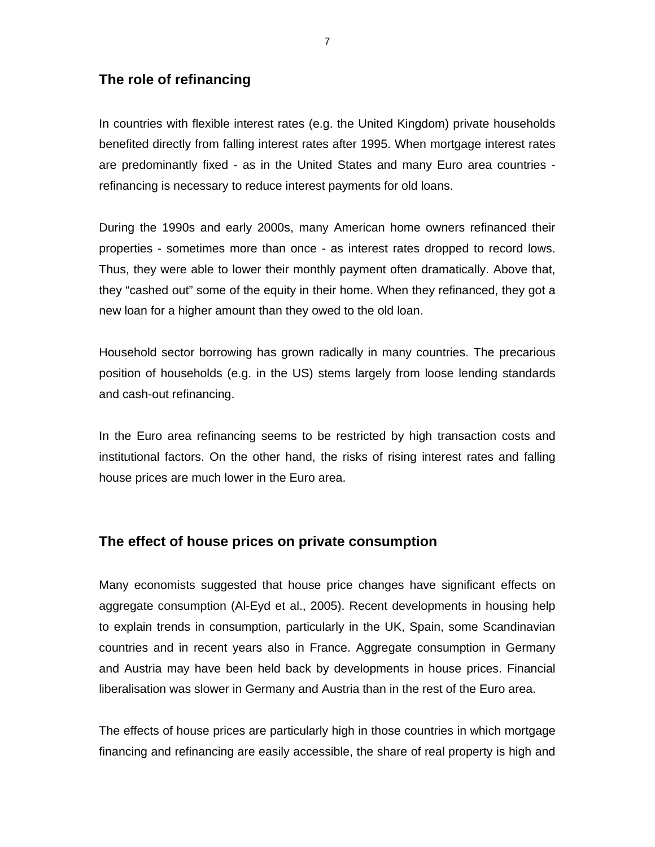### **The role of refinancing**

In countries with flexible interest rates (e.g. the United Kingdom) private households benefited directly from falling interest rates after 1995. When mortgage interest rates are predominantly fixed - as in the United States and many Euro area countries refinancing is necessary to reduce interest payments for old loans.

During the 1990s and early 2000s, many American home owners refinanced their properties - sometimes more than once - as interest rates dropped to record lows. Thus, they were able to lower their monthly payment often dramatically. Above that, they "cashed out" some of the equity in their home. When they refinanced, they got a new loan for a higher amount than they owed to the old loan.

Household sector borrowing has grown radically in many countries. The precarious position of households (e.g. in the US) stems largely from loose lending standards and cash-out refinancing.

In the Euro area refinancing seems to be restricted by high transaction costs and institutional factors. On the other hand, the risks of rising interest rates and falling house prices are much lower in the Euro area.

#### **The effect of house prices on private consumption**

Many economists suggested that house price changes have significant effects on aggregate consumption (Al-Eyd et al., 2005). Recent developments in housing help to explain trends in consumption, particularly in the UK, Spain, some Scandinavian countries and in recent years also in France. Aggregate consumption in Germany and Austria may have been held back by developments in house prices. Financial liberalisation was slower in Germany and Austria than in the rest of the Euro area.

The effects of house prices are particularly high in those countries in which mortgage financing and refinancing are easily accessible, the share of real property is high and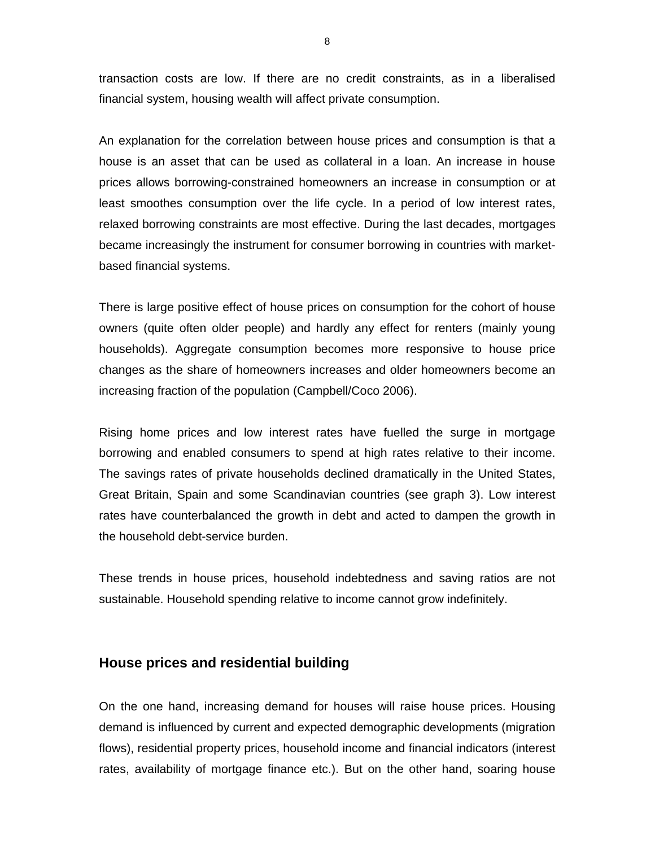transaction costs are low. If there are no credit constraints, as in a liberalised financial system, housing wealth will affect private consumption.

An explanation for the correlation between house prices and consumption is that a house is an asset that can be used as collateral in a loan. An increase in house prices allows borrowing-constrained homeowners an increase in consumption or at least smoothes consumption over the life cycle. In a period of low interest rates, relaxed borrowing constraints are most effective. During the last decades, mortgages became increasingly the instrument for consumer borrowing in countries with marketbased financial systems.

There is large positive effect of house prices on consumption for the cohort of house owners (quite often older people) and hardly any effect for renters (mainly young households). Aggregate consumption becomes more responsive to house price changes as the share of homeowners increases and older homeowners become an increasing fraction of the population (Campbell/Coco 2006).

Rising home prices and low interest rates have fuelled the surge in mortgage borrowing and enabled consumers to spend at high rates relative to their income. The savings rates of private households declined dramatically in the United States, Great Britain, Spain and some Scandinavian countries (see graph 3). Low interest rates have counterbalanced the growth in debt and acted to dampen the growth in the household debt-service burden.

These trends in house prices, household indebtedness and saving ratios are not sustainable. Household spending relative to income cannot grow indefinitely.

#### **House prices and residential building**

On the one hand, increasing demand for houses will raise house prices. Housing demand is influenced by current and expected demographic developments (migration flows), residential property prices, household income and financial indicators (interest rates, availability of mortgage finance etc.). But on the other hand, soaring house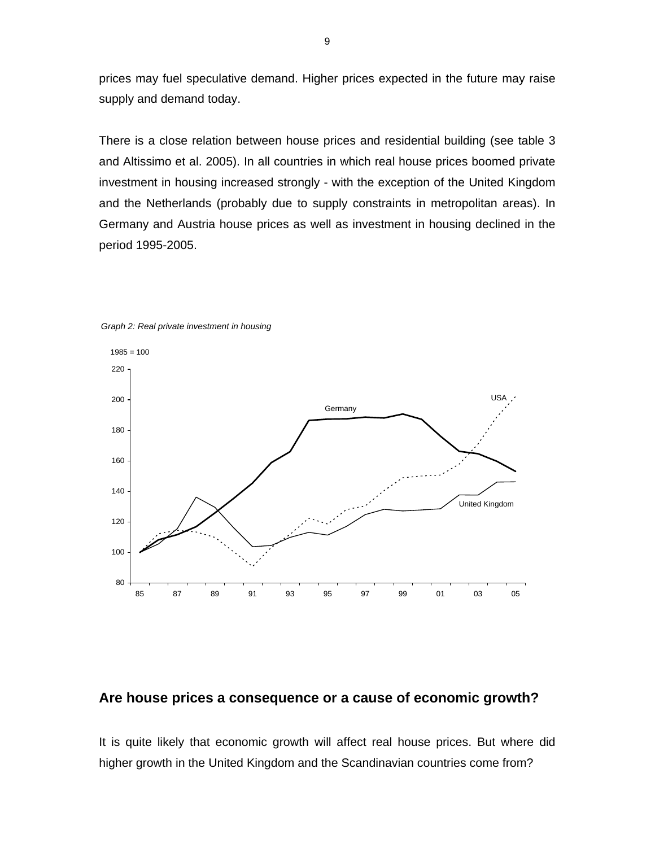prices may fuel speculative demand. Higher prices expected in the future may raise supply and demand today.

There is a close relation between house prices and residential building (see table 3 and Altissimo et al. 2005). In all countries in which real house prices boomed private investment in housing increased strongly - with the exception of the United Kingdom and the Netherlands (probably due to supply constraints in metropolitan areas). In Germany and Austria house prices as well as investment in housing declined in the period 1995-2005.





#### **Are house prices a consequence or a cause of economic growth?**

It is quite likely that economic growth will affect real house prices. But where did higher growth in the United Kingdom and the Scandinavian countries come from?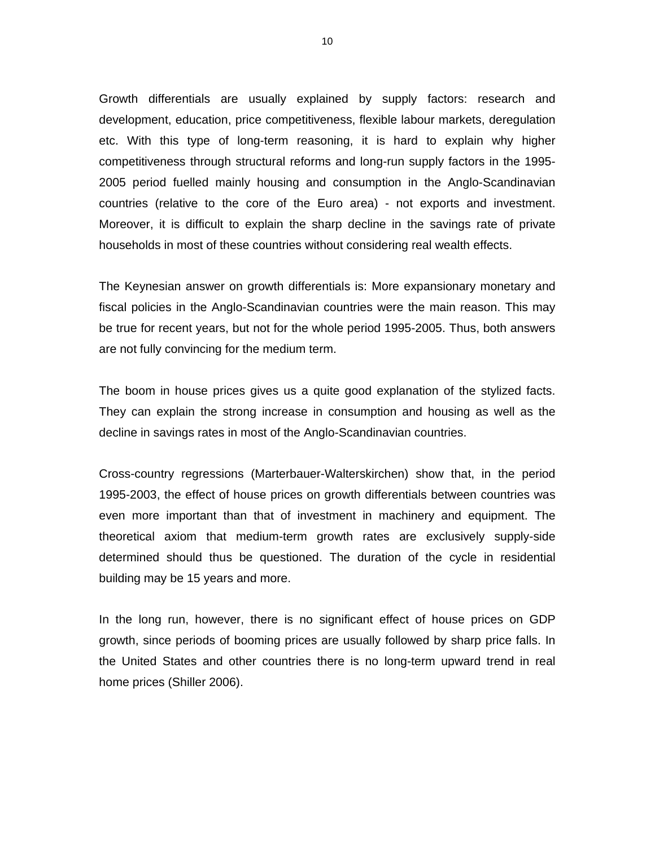Growth differentials are usually explained by supply factors: research and development, education, price competitiveness, flexible labour markets, deregulation etc. With this type of long-term reasoning, it is hard to explain why higher competitiveness through structural reforms and long-run supply factors in the 1995- 2005 period fuelled mainly housing and consumption in the Anglo-Scandinavian countries (relative to the core of the Euro area) - not exports and investment. Moreover, it is difficult to explain the sharp decline in the savings rate of private households in most of these countries without considering real wealth effects.

The Keynesian answer on growth differentials is: More expansionary monetary and fiscal policies in the Anglo-Scandinavian countries were the main reason. This may be true for recent years, but not for the whole period 1995-2005. Thus, both answers are not fully convincing for the medium term.

The boom in house prices gives us a quite good explanation of the stylized facts. They can explain the strong increase in consumption and housing as well as the decline in savings rates in most of the Anglo-Scandinavian countries.

Cross-country regressions (Marterbauer-Walterskirchen) show that, in the period 1995-2003, the effect of house prices on growth differentials between countries was even more important than that of investment in machinery and equipment. The theoretical axiom that medium-term growth rates are exclusively supply-side determined should thus be questioned. The duration of the cycle in residential building may be 15 years and more.

In the long run, however, there is no significant effect of house prices on GDP growth, since periods of booming prices are usually followed by sharp price falls. In the United States and other countries there is no long-term upward trend in real home prices (Shiller 2006).

10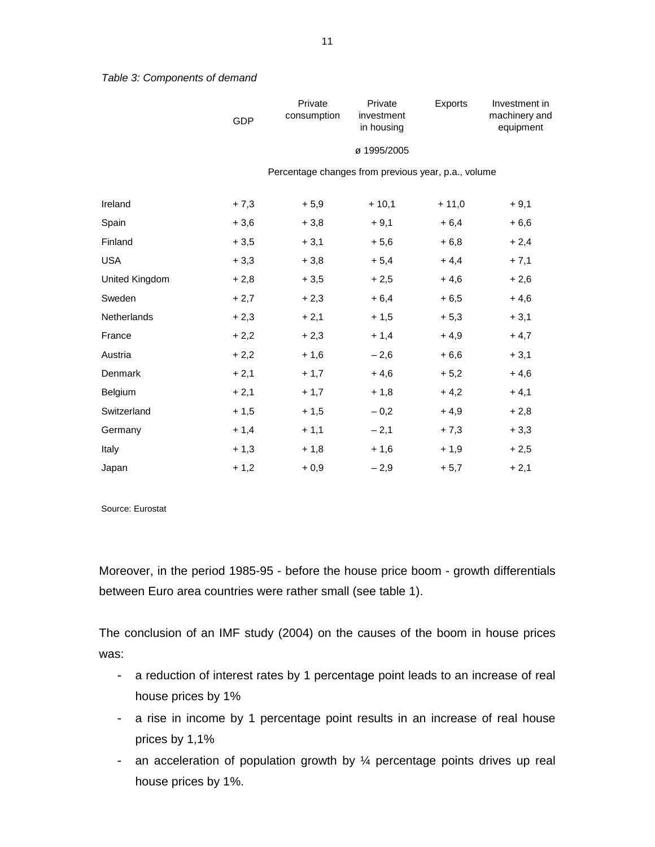Percentage changes from previous year, p.a., volume

Exports Investment in

machinery and equipment

| Ireland        | $+7,3$ | $+5,9$ | $+10,1$ | $+11,0$ | $+9,1$ |
|----------------|--------|--------|---------|---------|--------|
| Spain          | $+3,6$ | $+3,8$ | $+9,1$  | $+6,4$  | $+6,6$ |
| Finland        | $+3,5$ | $+3,1$ | $+5,6$  | $+6,8$  | $+2,4$ |
| <b>USA</b>     | $+3,3$ | $+3,8$ | $+5,4$  | $+4,4$  | $+7,1$ |
| United Kingdom | $+2,8$ | $+3,5$ | $+2,5$  | $+4,6$  | $+2,6$ |
| Sweden         | $+2,7$ | $+2,3$ | $+6,4$  | $+6,5$  | $+4,6$ |
| Netherlands    | $+2,3$ | $+2,1$ | $+1,5$  | $+5,3$  | $+3,1$ |
| France         | $+2,2$ | $+2,3$ | $+1,4$  | $+4,9$  | $+4,7$ |
| Austria        | $+2,2$ | $+1,6$ | $-2,6$  | $+6,6$  | $+3,1$ |
| Denmark        | $+2,1$ | $+1,7$ | $+4,6$  | $+5,2$  | $+4,6$ |
| Belgium        | $+2,1$ | $+1,7$ | $+1,8$  | $+4,2$  | $+4,1$ |
| Switzerland    | $+1,5$ | $+1,5$ | $-0,2$  | $+4,9$  | $+2,8$ |
| Germany        | $+1,4$ | $+1,1$ | $-2,1$  | $+7,3$  | $+3,3$ |
| Italy          | $+1,3$ | $+1,8$ | $+1,6$  | $+1,9$  | $+2,5$ |
| Japan          | $+1,2$ | $+0,9$ | $-2,9$  | $+5,7$  | $+2,1$ |

Source: Eurostat

Moreover, in the period 1985-95 - before the house price boom - growth differentials between Euro area countries were rather small (see table 1).

The conclusion of an IMF study (2004) on the causes of the boom in house prices was:

- a reduction of interest rates by 1 percentage point leads to an increase of real house prices by 1%
- a rise in income by 1 percentage point results in an increase of real house prices by 1,1%
- an acceleration of population growth by  $\frac{1}{4}$  percentage points drives up real house prices by 1%.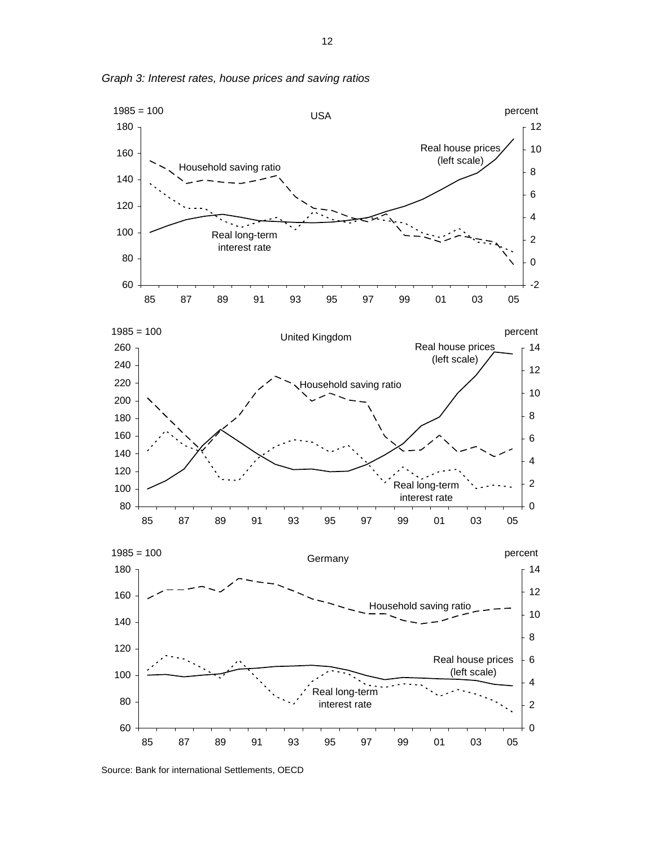

*Graph 3: Interest rates, house prices and saving ratios*

Source: Bank for international Settlements, OECD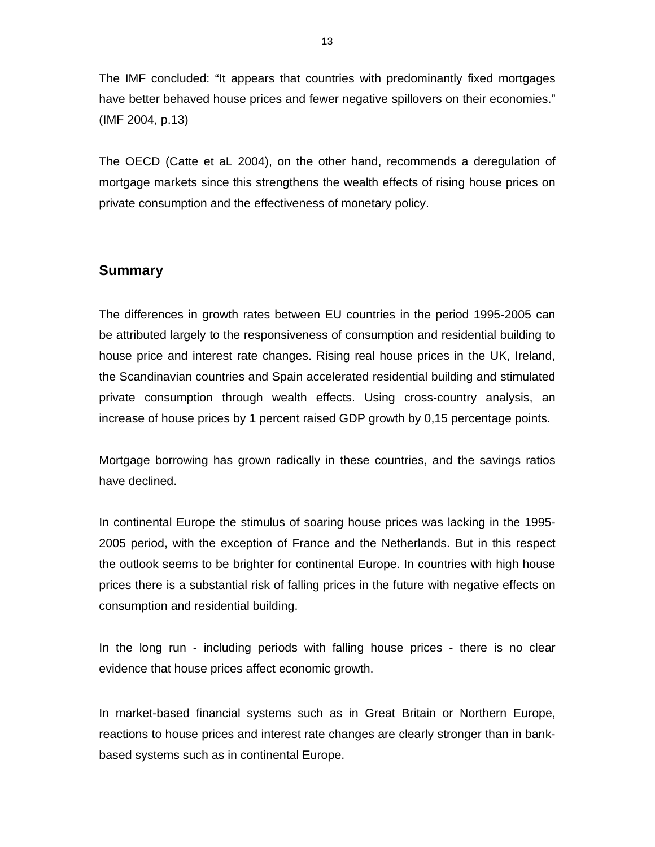The IMF concluded: "It appears that countries with predominantly fixed mortgages have better behaved house prices and fewer negative spillovers on their economies." (IMF 2004, p.13)

The OECD (Catte et aL 2004), on the other hand, recommends a deregulation of mortgage markets since this strengthens the wealth effects of rising house prices on private consumption and the effectiveness of monetary policy.

#### **Summary**

The differences in growth rates between EU countries in the period 1995-2005 can be attributed largely to the responsiveness of consumption and residential building to house price and interest rate changes. Rising real house prices in the UK, Ireland, the Scandinavian countries and Spain accelerated residential building and stimulated private consumption through wealth effects. Using cross-country analysis, an increase of house prices by 1 percent raised GDP growth by 0,15 percentage points.

Mortgage borrowing has grown radically in these countries, and the savings ratios have declined.

In continental Europe the stimulus of soaring house prices was lacking in the 1995- 2005 period, with the exception of France and the Netherlands. But in this respect the outlook seems to be brighter for continental Europe. In countries with high house prices there is a substantial risk of falling prices in the future with negative effects on consumption and residential building.

In the long run - including periods with falling house prices - there is no clear evidence that house prices affect economic growth.

In market-based financial systems such as in Great Britain or Northern Europe, reactions to house prices and interest rate changes are clearly stronger than in bankbased systems such as in continental Europe.